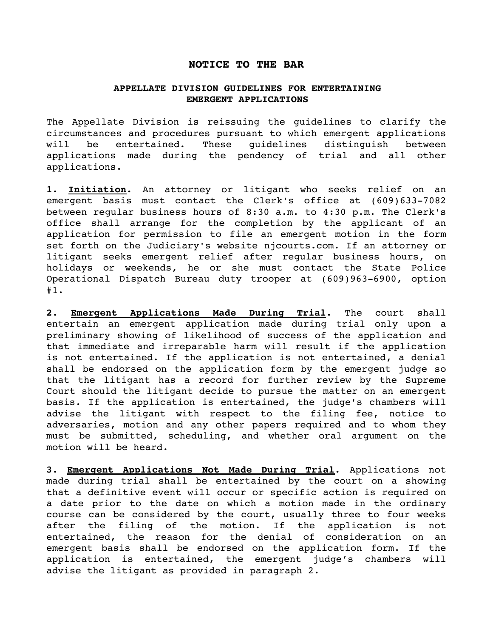## **NOTICE TO THE BAR**

## **APPELLATE DIVISION GUIDELINES FOR ENTERTAINING EMERGENT APPLICATIONS**

The Appellate Division is reissuing the guidelines to clarify the circumstances and procedures pursuant to which emergent applications will be entertained. These guidelines distinguish between applications made during the pendency of trial and all other applications.

**1. Initiation.** An attorney or litigant who seeks relief on an emergent basis must contact the Clerk's office at (609)633-7082 between regular business hours of 8:30 a.m. to 4:30 p.m. The Clerk's office shall arrange for the completion by the applicant of an application for permission to file an emergent motion in the form set forth on the Judiciary's website njcourts.com. If an attorney or litigant seeks emergent relief after regular business hours, on holidays or weekends, he or she must contact the State Police Operational Dispatch Bureau duty trooper at (609)963-6900, option #1.

**2. Emergent Applications Made During Trial.** The court shall entertain an emergent application made during trial only upon a preliminary showing of likelihood of success of the application and that immediate and irreparable harm will result if the application is not entertained. If the application is not entertained, a denial shall be endorsed on the application form by the emergent judge so that the litigant has a record for further review by the Supreme Court should the litigant decide to pursue the matter on an emergent basis. If the application is entertained, the judge's chambers will advise the litigant with respect to the filing fee, notice to adversaries, motion and any other papers required and to whom they must be submitted, scheduling, and whether oral argument on the motion will be heard.

**3. Emergent Applications Not Made During Trial.** Applications not made during trial shall be entertained by the court on a showing that a definitive event will occur or specific action is required on a date prior to the date on which a motion made in the ordinary course can be considered by the court, usually three to four weeks after the filing of the motion. If the application is not entertained, the reason for the denial of consideration on an emergent basis shall be endorsed on the application form. If the application is entertained, the emergent judge's chambers will advise the litigant as provided in paragraph 2.